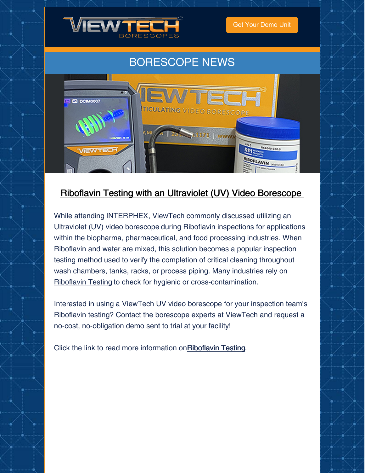

Get Your [Demo](https://www.viewtech.com/borescope-demo-offer/?utm_source=cc&utm_medium=email&utm_campaign=newsletter1121) Unit

## BORESCOPE NEWS



### Riboflavin Testing with an Ultraviolet (UV) Video [Borescope](https://www.viewtech.com/riboflavin-testing-inspection-with-viewtech-video-borescope/?utm_source=cc&utm_medium=email&utm_campaign=newsletter1121)

While attending [INTERPHEX](https://www.viewtech.com/about-us/tradeshows/interphex-2021/?utm_source=cc&utm_medium=email&utm_campaign=newsletter1121), ViewTech commonly discussed utilizing an Ultraviolet (UV) video [borescope](https://www.viewtech.com/borescopes/ultraviolet-uv-borescope/?utm_source=cc&utm_medium=email&utm_campaign=newsletter1121) during Riboflavin inspections for applications within the biopharma, pharmaceutical, and food processing industries. When Riboflavin and water are mixed, this solution becomes a popular inspection testing method used to verify the completion of critical cleaning throughout wash chambers, tanks, racks, or process piping. Many industries rely on [Riboflavin](https://www.viewtech.com/riboflavin-testing-inspection-with-viewtech-video-borescope/?utm_source=cc&utm_medium=email&utm_campaign=newsletter1121) Testing to check for hygienic or cross-contamination.

Interested in using a ViewTech UV video borescope for your inspection team's Riboflavin testing? Contact the borescope experts at ViewTech and request a no-cost, no-obligation demo sent to trial at your facility!

Click the link to read more information on [Riboflavin](https://www.viewtech.com/wp-content/uploads/ViewTech_Riboflavin.pdf) Testing.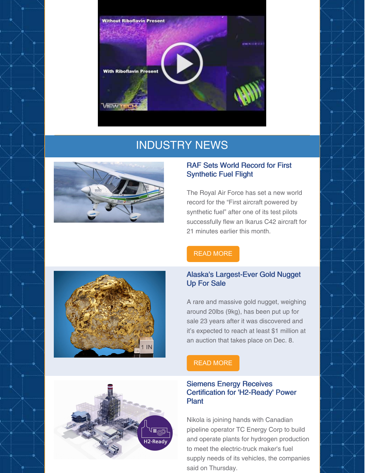

## INDUSTRY NEWS



#### RAF Sets World Record for First Synthetic Fuel Flight

The Royal Air Force has set a new world record for the "First aircraft powered by synthetic fuel" after one of its test pilots successfully flew an Ikarus C42 aircraft for 21 minutes earlier this month.

#### READ [MORE](https://www.aerospacetestinginternational.com/news/engine-testing/raf-sets-world-record-for-first-synthetic-fuel-flight.html)

#### Alaska's Largest-Ever Gold Nugget Up For Sale

A rare and massive gold nugget, weighing around 20lbs (9kg), has been put up for sale 23 years after it was discovered and it's expected to reach at least \$1 million at an auction that takes place on Dec. 8.

### READ [MORE](https://www.mining.com/alaskas-largest-ever-gold-nugget-the-size-of-a-babys-head-up-for-sale/)

#### Siemens Energy Receives Certification for 'H2-Ready' Power Plant

Nikola is joining hands with Canadian pipeline operator TC Energy Corp to build and operate plants for hydrogen production to meet the electric-truck maker's fuel supply needs of its vehicles, the companies said on Thursday.



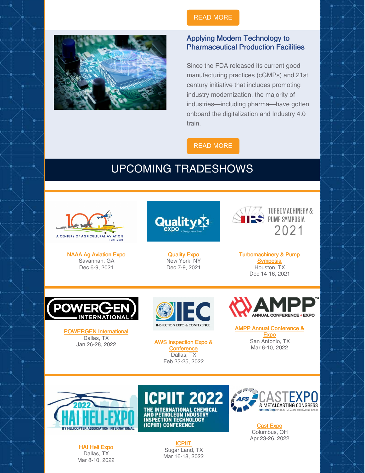

### READ [MORE](https://www.power-eng.com/gas/combined-cycle/siemens-energy-receives-certification-for-h2-ready-power-plant/#gref)

#### Applying Modern Technology to Pharmaceutical Production Facilities

Since the FDA released its current good manufacturing practices (cGMPs) and 21st century initiative that includes promoting industry modernization, the majority of industries—including pharma—have gotten onboard the digitalization and Industry 4.0 train.

#### READ [MORE](https://www.healthcarepackaging.com/issues/regulatory/article/21903173/applying-modern-technology-to-pharmaceutical-production-facilities)

## UPCOMING TRADESHOWS



NAAA Ag [Aviation](https://www.viewtech.com/about-us/tradeshows/naaa-ag-aviation-expo-2021/?utm_source=cc&utm_medium=email&utm_campaign=newsletter1121) Expo Savannah, GA Dec 6-9, 2021

Quality

**[Quality](https://www.viewtech.com/about-us/tradeshows/quality-expo-advanced-manufacturing-east-2021/?utm_source=cc&utm_medium=email&utm_campaign=newsletter1121) Expo** New York, NY Dec 7-9, 2021



[Turbomachinery](https://www.viewtech.com/about-us/tradeshows/turbomachinery-pump-symposia-tps-2021/?utm_source=cc&utm_medium=email&utm_campaign=newsletter1121) & Pump **Symposia** Houston, TX Dec 14-16, 2021



[POWERGEN](https://www.viewtech.com/about-us/tradeshows/powergen-international-2021-2022/?utm_source=cc&utm_medium=email&utm_campaign=newsletter1121) International Dallas, TX<br>Jan 26-28, 2022



**AWS Inspection Expo & [Conference](https://www.viewtech.com/about-us/tradeshows/aws-inspection-expo-conference-2022/?utm_source=cc&utm_medium=email&utm_campaign=newsletter1121)** Dallas, TX Feb 23-25, 2022



AMPP Annual [Conference](https://www.viewtech.com/about-us/tradeshows/ampp-conference-expo-2022/?utm_source=cc&utm_medium=email&utm_campaign=newsletter1121) & **Expo** San Antonio, TX Mar 6-10, 2022



HAI Heli [Expo](https://www.viewtech.com/about-us/tradeshows/hai-heli-expo-2022/?utm_source=cc&utm_medium=email&utm_campaign=newsletter1121) Dallas, TX Mar 8-10, 2022



AND PETROLEUM INDUSTRY<br>INSPECTION TECHNOLOGY<br>(ICPIIT) CONFERENCE

**[ICPIIT](https://www.viewtech.com/about-us/tradeshows/international-chemical-and-petroleum-industry-inspection-technology-conference-icpiit-2022/?utm_source=cc&utm_medium=email&utm_campaign=newsletter1121)** Sugar Land, TX Mar 16-18, 2022



Cast [Expo](https://www.viewtech.com/about-us/tradeshows/cast-expo-2022/?utm_source=cc&utm_medium=email&utm_campaign=newsletter1121) Columbus, OH Apr 23-26, 2022